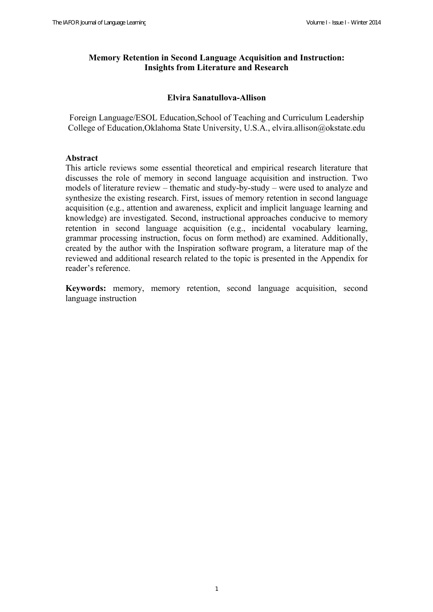# **Memory Retention in Second Language Acquisition and Instruction: Insights from Literature and Research**

# **Elvira Sanatullova-Allison**

Foreign Language/ESOL Education,School of Teaching and Curriculum Leadership College of Education,Oklahoma State University, U.S.A., elvira.allison@okstate.edu

# **Abstract**

This article reviews some essential theoretical and empirical research literature that discusses the role of memory in second language acquisition and instruction. Two models of literature review – thematic and study-by-study – were used to analyze and synthesize the existing research. First, issues of memory retention in second language acquisition (e.g., attention and awareness, explicit and implicit language learning and knowledge) are investigated. Second, instructional approaches conducive to memory retention in second language acquisition (e.g., incidental vocabulary learning, grammar processing instruction, focus on form method) are examined. Additionally, created by the author with the Inspiration software program, a literature map of the reviewed and additional research related to the topic is presented in the Appendix for reader's reference.

**Keywords:** memory, memory retention, second language acquisition, second language instruction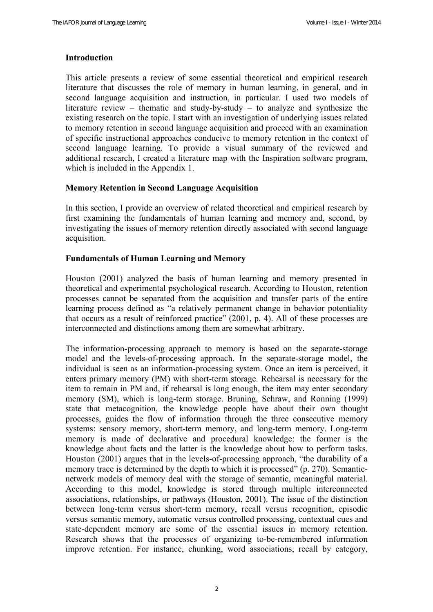# **Introduction**

This article presents a review of some essential theoretical and empirical research literature that discusses the role of memory in human learning, in general, and in second language acquisition and instruction, in particular. I used two models of literature review – thematic and study-by-study – to analyze and synthesize the existing research on the topic. I start with an investigation of underlying issues related to memory retention in second language acquisition and proceed with an examination of specific instructional approaches conducive to memory retention in the context of second language learning. To provide a visual summary of the reviewed and additional research, I created a literature map with the Inspiration software program, which is included in the Appendix 1.

#### **Memory Retention in Second Language Acquisition**

In this section, I provide an overview of related theoretical and empirical research by first examining the fundamentals of human learning and memory and, second, by investigating the issues of memory retention directly associated with second language acquisition.

# **Fundamentals of Human Learning and Memory**

Houston (2001) analyzed the basis of human learning and memory presented in theoretical and experimental psychological research. According to Houston, retention processes cannot be separated from the acquisition and transfer parts of the entire learning process defined as "a relatively permanent change in behavior potentiality that occurs as a result of reinforced practice" (2001, p. 4). All of these processes are interconnected and distinctions among them are somewhat arbitrary.

The information-processing approach to memory is based on the separate-storage model and the levels-of-processing approach. In the separate-storage model, the individual is seen as an information-processing system. Once an item is perceived, it enters primary memory (PM) with short-term storage. Rehearsal is necessary for the item to remain in PM and, if rehearsal is long enough, the item may enter secondary memory (SM), which is long-term storage. Bruning, Schraw, and Ronning (1999) state that metacognition, the knowledge people have about their own thought processes, guides the flow of information through the three consecutive memory systems: sensory memory, short-term memory, and long-term memory. Long-term memory is made of declarative and procedural knowledge: the former is the knowledge about facts and the latter is the knowledge about how to perform tasks. Houston (2001) argues that in the levels-of-processing approach, "the durability of a memory trace is determined by the depth to which it is processed" (p. 270). Semanticnetwork models of memory deal with the storage of semantic, meaningful material. According to this model, knowledge is stored through multiple interconnected associations, relationships, or pathways (Houston, 2001). The issue of the distinction between long-term versus short-term memory, recall versus recognition, episodic versus semantic memory, automatic versus controlled processing, contextual cues and state-dependent memory are some of the essential issues in memory retention. Research shows that the processes of organizing to-be-remembered information improve retention. For instance, chunking, word associations, recall by category,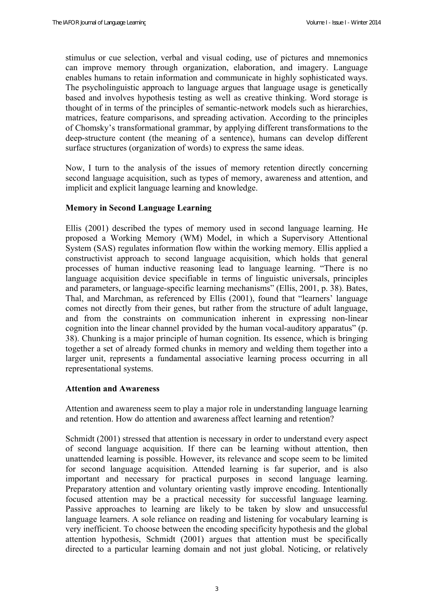stimulus or cue selection, verbal and visual coding, use of pictures and mnemonics can improve memory through organization, elaboration, and imagery. Language enables humans to retain information and communicate in highly sophisticated ways. The psycholinguistic approach to language argues that language usage is genetically based and involves hypothesis testing as well as creative thinking. Word storage is thought of in terms of the principles of semantic-network models such as hierarchies, matrices, feature comparisons, and spreading activation. According to the principles of Chomsky's transformational grammar, by applying different transformations to the deep-structure content (the meaning of a sentence), humans can develop different surface structures (organization of words) to express the same ideas.

Now, I turn to the analysis of the issues of memory retention directly concerning second language acquisition, such as types of memory, awareness and attention, and implicit and explicit language learning and knowledge.

# **Memory in Second Language Learning**

Ellis (2001) described the types of memory used in second language learning. He proposed a Working Memory (WM) Model, in which a Supervisory Attentional System (SAS) regulates information flow within the working memory. Ellis applied a constructivist approach to second language acquisition, which holds that general processes of human inductive reasoning lead to language learning. "There is no language acquisition device specifiable in terms of linguistic universals, principles and parameters, or language-specific learning mechanisms" (Ellis, 2001, p. 38). Bates, Thal, and Marchman, as referenced by Ellis (2001), found that "learners' language comes not directly from their genes, but rather from the structure of adult language, and from the constraints on communication inherent in expressing non-linear cognition into the linear channel provided by the human vocal-auditory apparatus" (p. 38). Chunking is a major principle of human cognition. Its essence, which is bringing together a set of already formed chunks in memory and welding them together into a larger unit, represents a fundamental associative learning process occurring in all representational systems.

#### **Attention and Awareness**

Attention and awareness seem to play a major role in understanding language learning and retention. How do attention and awareness affect learning and retention?

Schmidt (2001) stressed that attention is necessary in order to understand every aspect of second language acquisition. If there can be learning without attention, then unattended learning is possible. However, its relevance and scope seem to be limited for second language acquisition. Attended learning is far superior, and is also important and necessary for practical purposes in second language learning. Preparatory attention and voluntary orienting vastly improve encoding. Intentionally focused attention may be a practical necessity for successful language learning. Passive approaches to learning are likely to be taken by slow and unsuccessful language learners. A sole reliance on reading and listening for vocabulary learning is very inefficient. To choose between the encoding specificity hypothesis and the global attention hypothesis, Schmidt (2001) argues that attention must be specifically directed to a particular learning domain and not just global. Noticing, or relatively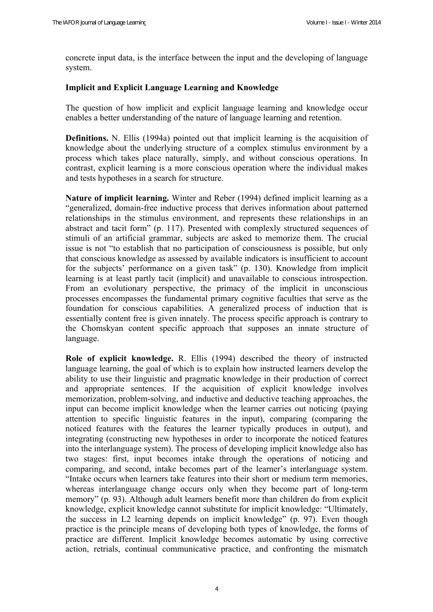concrete input data, is the interface between the input and the developing of language system.

#### **Implicit and Explicit Language Learning and Knowledge**

The question of how implicit and explicit language learning and knowledge occur enables a better understanding of the nature of language learning and retention.

**Definitions.** N. Ellis (1994a) pointed out that implicit learning is the acquisition of knowledge about the underlying structure of a complex stimulus environment by a process which takes place naturally, simply, and without conscious operations. In contrast, explicit learning is a more conscious operation where the individual makes and tests hypotheses in a search for structure.

**Nature of implicit learning.** Winter and Reber (1994) defined implicit learning as a "generalized, domain-free inductive process that derives information about patterned relationships in the stimulus environment, and represents these relationships in an abstract and tacit form" (p. 117). Presented with complexly structured sequences of stimuli of an artificial grammar, subjects are asked to memorize them. The crucial issue is not "to establish that no participation of consciousness is possible, but only that conscious knowledge as assessed by available indicators is insufficient to account for the subjects' performance on a given task" (p. 130). Knowledge from implicit learning is at least partly tacit (implicit) and unavailable to conscious introspection. From an evolutionary perspective, the primacy of the implicit in unconscious processes encompasses the fundamental primary cognitive faculties that serve as the foundation for conscious capabilities. A generalized process of induction that is essentially content free is given innately. The process specific approach is contrary to the Chomskyan content specific approach that supposes an innate structure of language.

**Role of explicit knowledge.** R. Ellis (1994) described the theory of instructed language learning, the goal of which is to explain how instructed learners develop the ability to use their linguistic and pragmatic knowledge in their production of correct and appropriate sentences. If the acquisition of explicit knowledge involves memorization, problem-solving, and inductive and deductive teaching approaches, the input can become implicit knowledge when the learner carries out noticing (paying attention to specific linguistic features in the input), comparing (comparing the noticed features with the features the learner typically produces in output), and integrating (constructing new hypotheses in order to incorporate the noticed features into the interlanguage system). The process of developing implicit knowledge also has two stages: first, input becomes intake through the operations of noticing and comparing, and second, intake becomes part of the learner's interlanguage system. "Intake occurs when learners take features into their short or medium term memories, whereas interlanguage change occurs only when they become part of long-term memory" (p. 93). Although adult learners benefit more than children do from explicit knowledge, explicit knowledge cannot substitute for implicit knowledge: "Ultimately, the success in L2 learning depends on implicit knowledge" (p. 97). Even though practice is the principle means of developing both types of knowledge, the forms of practice are different. Implicit knowledge becomes automatic by using corrective action, retrials, continual communicative practice, and confronting the mismatch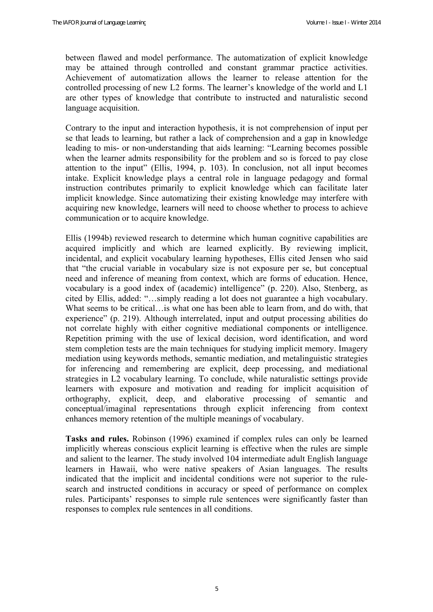between flawed and model performance. The automatization of explicit knowledge may be attained through controlled and constant grammar practice activities. Achievement of automatization allows the learner to release attention for the controlled processing of new L2 forms. The learner's knowledge of the world and L1 are other types of knowledge that contribute to instructed and naturalistic second language acquisition.

Contrary to the input and interaction hypothesis, it is not comprehension of input per se that leads to learning, but rather a lack of comprehension and a gap in knowledge leading to mis- or non-understanding that aids learning: "Learning becomes possible when the learner admits responsibility for the problem and so is forced to pay close attention to the input" (Ellis, 1994, p. 103). In conclusion, not all input becomes intake. Explicit knowledge plays a central role in language pedagogy and formal instruction contributes primarily to explicit knowledge which can facilitate later implicit knowledge. Since automatizing their existing knowledge may interfere with acquiring new knowledge, learners will need to choose whether to process to achieve communication or to acquire knowledge.

Ellis (1994b) reviewed research to determine which human cognitive capabilities are acquired implicitly and which are learned explicitly. By reviewing implicit, incidental, and explicit vocabulary learning hypotheses, Ellis cited Jensen who said that "the crucial variable in vocabulary size is not exposure per se, but conceptual need and inference of meaning from context, which are forms of education. Hence, vocabulary is a good index of (academic) intelligence" (p. 220). Also, Stenberg, as cited by Ellis, added: "…simply reading a lot does not guarantee a high vocabulary. What seems to be critical…is what one has been able to learn from, and do with, that experience" (p. 219). Although interrelated, input and output processing abilities do not correlate highly with either cognitive mediational components or intelligence. Repetition priming with the use of lexical decision, word identification, and word stem completion tests are the main techniques for studying implicit memory. Imagery mediation using keywords methods, semantic mediation, and metalinguistic strategies for inferencing and remembering are explicit, deep processing, and mediational strategies in L2 vocabulary learning. To conclude, while naturalistic settings provide learners with exposure and motivation and reading for implicit acquisition of orthography, explicit, deep, and elaborative processing of semantic and conceptual/imaginal representations through explicit inferencing from context enhances memory retention of the multiple meanings of vocabulary.

**Tasks and rules.** Robinson (1996) examined if complex rules can only be learned implicitly whereas conscious explicit learning is effective when the rules are simple and salient to the learner. The study involved 104 intermediate adult English language learners in Hawaii, who were native speakers of Asian languages. The results indicated that the implicit and incidental conditions were not superior to the rulesearch and instructed conditions in accuracy or speed of performance on complex rules. Participants' responses to simple rule sentences were significantly faster than responses to complex rule sentences in all conditions.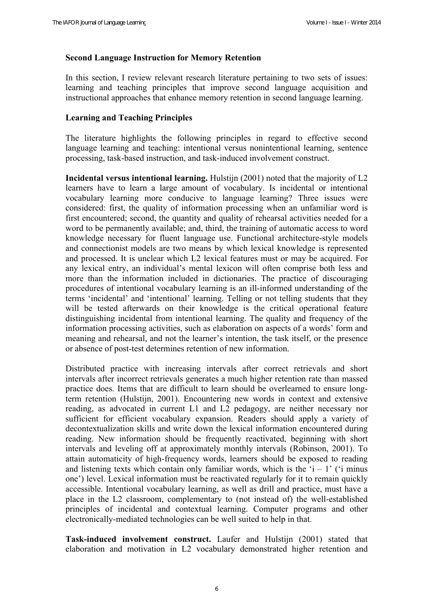## **Second Language Instruction for Memory Retention**

In this section, I review relevant research literature pertaining to two sets of issues: learning and teaching principles that improve second language acquisition and instructional approaches that enhance memory retention in second language learning.

#### **Learning and Teaching Principles**

The literature highlights the following principles in regard to effective second language learning and teaching: intentional versus nonintentional learning, sentence processing, task-based instruction, and task-induced involvement construct.

**Incidental versus intentional learning.** Hulstijn (2001) noted that the majority of L2 learners have to learn a large amount of vocabulary. Is incidental or intentional vocabulary learning more conducive to language learning? Three issues were considered: first, the quality of information processing when an unfamiliar word is first encountered; second, the quantity and quality of rehearsal activities needed for a word to be permanently available; and, third, the training of automatic access to word knowledge necessary for fluent language use. Functional architecture-style models and connectionist models are two means by which lexical knowledge is represented and processed. It is unclear which L2 lexical features must or may be acquired. For any lexical entry, an individual's mental lexicon will often comprise both less and more than the information included in dictionaries. The practice of discouraging procedures of intentional vocabulary learning is an ill-informed understanding of the terms 'incidental' and 'intentional' learning. Telling or not telling students that they will be tested afterwards on their knowledge is the critical operational feature distinguishing incidental from intentional learning. The quality and frequency of the information processing activities, such as elaboration on aspects of a words' form and meaning and rehearsal, and not the learner's intention, the task itself, or the presence or absence of post-test determines retention of new information.

Distributed practice with increasing intervals after correct retrievals and short intervals after incorrect retrievals generates a much higher retention rate than massed practice does. Items that are difficult to learn should be overlearned to ensure longterm retention (Hulstijn, 2001). Encountering new words in context and extensive reading, as advocated in current L1 and L2 pedagogy, are neither necessary nor sufficient for efficient vocabulary expansion. Readers should apply a variety of decontextualization skills and write down the lexical information encountered during reading. New information should be frequently reactivated, beginning with short intervals and leveling off at approximately monthly intervals (Robinson, 2001). To attain automaticity of high-frequency words, learners should be exposed to reading and listening texts which contain only familiar words, which is the  $i - 1$  ( $i$  minus one') level. Lexical information must be reactivated regularly for it to remain quickly accessible. Intentional vocabulary learning, as well as drill and practice, must have a place in the L2 classroom, complementary to (not instead of) the well-established principles of incidental and contextual learning. Computer programs and other electronically-mediated technologies can be well suited to help in that.

**Task-induced involvement construct.** Laufer and Hulstijn (2001) stated that elaboration and motivation in L2 vocabulary demonstrated higher retention and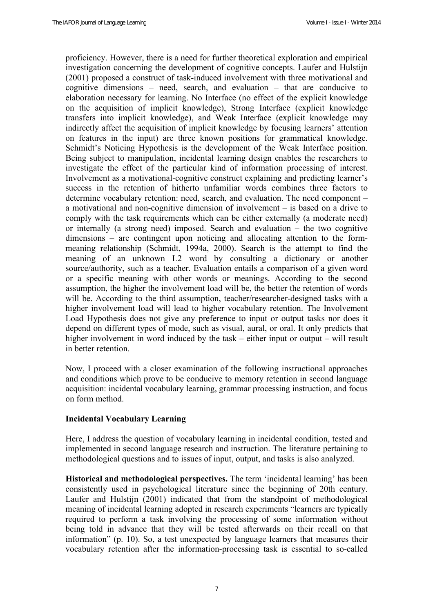proficiency. However, there is a need for further theoretical exploration and empirical investigation concerning the development of cognitive concepts. Laufer and Hulstijn (2001) proposed a construct of task-induced involvement with three motivational and cognitive dimensions – need, search, and evaluation – that are conducive to elaboration necessary for learning. No Interface (no effect of the explicit knowledge on the acquisition of implicit knowledge), Strong Interface (explicit knowledge transfers into implicit knowledge), and Weak Interface (explicit knowledge may indirectly affect the acquisition of implicit knowledge by focusing learners' attention on features in the input) are three known positions for grammatical knowledge. Schmidt's Noticing Hypothesis is the development of the Weak Interface position. Being subject to manipulation, incidental learning design enables the researchers to investigate the effect of the particular kind of information processing of interest. Involvement as a motivational-cognitive construct explaining and predicting learner's success in the retention of hitherto unfamiliar words combines three factors to determine vocabulary retention: need, search, and evaluation. The need component – a motivational and non-cognitive dimension of involvement – is based on a drive to comply with the task requirements which can be either externally (a moderate need) or internally (a strong need) imposed. Search and evaluation – the two cognitive dimensions – are contingent upon noticing and allocating attention to the formmeaning relationship (Schmidt, 1994a, 2000). Search is the attempt to find the meaning of an unknown L2 word by consulting a dictionary or another source/authority, such as a teacher. Evaluation entails a comparison of a given word or a specific meaning with other words or meanings. According to the second assumption, the higher the involvement load will be, the better the retention of words will be. According to the third assumption, teacher/researcher-designed tasks with a higher involvement load will lead to higher vocabulary retention. The Involvement Load Hypothesis does not give any preference to input or output tasks nor does it depend on different types of mode, such as visual, aural, or oral. It only predicts that higher involvement in word induced by the task – either input or output – will result in better retention.

Now, I proceed with a closer examination of the following instructional approaches and conditions which prove to be conducive to memory retention in second language acquisition: incidental vocabulary learning, grammar processing instruction, and focus on form method.

# **Incidental Vocabulary Learning**

Here, I address the question of vocabulary learning in incidental condition, tested and implemented in second language research and instruction. The literature pertaining to methodological questions and to issues of input, output, and tasks is also analyzed.

**Historical and methodological perspectives.** The term 'incidental learning' has been consistently used in psychological literature since the beginning of 20th century. Laufer and Hulstijn (2001) indicated that from the standpoint of methodological meaning of incidental learning adopted in research experiments "learners are typically required to perform a task involving the processing of some information without being told in advance that they will be tested afterwards on their recall on that information" (p. 10). So, a test unexpected by language learners that measures their vocabulary retention after the information-processing task is essential to so-called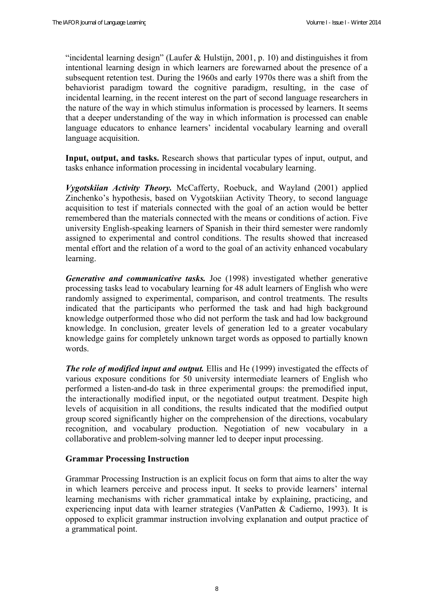"incidental learning design" (Laufer & Hulstijn, 2001, p. 10) and distinguishes it from intentional learning design in which learners are forewarned about the presence of a subsequent retention test. During the 1960s and early 1970s there was a shift from the behaviorist paradigm toward the cognitive paradigm, resulting, in the case of incidental learning, in the recent interest on the part of second language researchers in the nature of the way in which stimulus information is processed by learners. It seems that a deeper understanding of the way in which information is processed can enable language educators to enhance learners' incidental vocabulary learning and overall language acquisition.

**Input, output, and tasks.** Research shows that particular types of input, output, and tasks enhance information processing in incidental vocabulary learning.

*Vygotskiian Activity Theory.* McCafferty, Roebuck, and Wayland (2001) applied Zinchenko's hypothesis, based on Vygotskiian Activity Theory, to second language acquisition to test if materials connected with the goal of an action would be better remembered than the materials connected with the means or conditions of action. Five university English-speaking learners of Spanish in their third semester were randomly assigned to experimental and control conditions. The results showed that increased mental effort and the relation of a word to the goal of an activity enhanced vocabulary learning.

*Generative and communicative tasks.* Joe (1998) investigated whether generative processing tasks lead to vocabulary learning for 48 adult learners of English who were randomly assigned to experimental, comparison, and control treatments. The results indicated that the participants who performed the task and had high background knowledge outperformed those who did not perform the task and had low background knowledge. In conclusion, greater levels of generation led to a greater vocabulary knowledge gains for completely unknown target words as opposed to partially known words.

*The role of modified input and output.* Ellis and He (1999) investigated the effects of various exposure conditions for 50 university intermediate learners of English who performed a listen-and-do task in three experimental groups: the premodified input, the interactionally modified input, or the negotiated output treatment. Despite high levels of acquisition in all conditions, the results indicated that the modified output group scored significantly higher on the comprehension of the directions, vocabulary recognition, and vocabulary production. Negotiation of new vocabulary in a collaborative and problem-solving manner led to deeper input processing.

# **Grammar Processing Instruction**

Grammar Processing Instruction is an explicit focus on form that aims to alter the way in which learners perceive and process input. It seeks to provide learners' internal learning mechanisms with richer grammatical intake by explaining, practicing, and experiencing input data with learner strategies (VanPatten & Cadierno, 1993). It is opposed to explicit grammar instruction involving explanation and output practice of a grammatical point.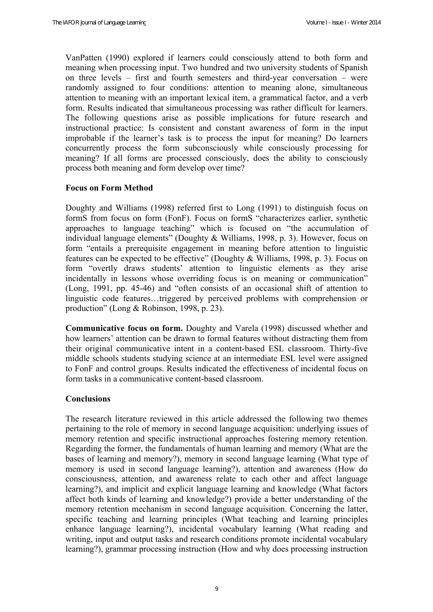VanPatten (1990) explored if learners could consciously attend to both form and meaning when processing input. Two hundred and two university students of Spanish on three levels – first and fourth semesters and third-year conversation – were randomly assigned to four conditions: attention to meaning alone, simultaneous attention to meaning with an important lexical item, a grammatical factor, and a verb form. Results indicated that simultaneous processing was rather difficult for learners. The following questions arise as possible implications for future research and instructional practice: Is consistent and constant awareness of form in the input improbable if the learner's task is to process the input for meaning? Do learners concurrently process the form subconsciously while consciously processing for meaning? If all forms are processed consciously, does the ability to consciously process both meaning and form develop over time?

#### **Focus on Form Method**

Doughty and Williams (1998) referred first to Long (1991) to distinguish focus on formS from focus on form (FonF). Focus on formS "characterizes earlier, synthetic approaches to language teaching" which is focused on "the accumulation of individual language elements" (Doughty & Williams, 1998, p. 3). However, focus on form "entails a prerequisite engagement in meaning before attention to linguistic features can be expected to be effective" (Doughty & Williams, 1998, p. 3). Focus on form "overtly draws students' attention to linguistic elements as they arise incidentally in lessons whose overriding focus is on meaning or communication" (Long, 1991, pp. 45-46) and "often consists of an occasional shift of attention to linguistic code features…triggered by perceived problems with comprehension or production" (Long & Robinson, 1998, p. 23).

**Communicative focus on form.** Doughty and Varela (1998) discussed whether and how learners' attention can be drawn to formal features without distracting them from their original communicative intent in a content-based ESL classroom. Thirty-five middle schools students studying science at an intermediate ESL level were assigned to FonF and control groups. Results indicated the effectiveness of incidental focus on form tasks in a communicative content-based classroom.

#### **Conclusions**

The research literature reviewed in this article addressed the following two themes pertaining to the role of memory in second language acquisition: underlying issues of memory retention and specific instructional approaches fostering memory retention. Regarding the former, the fundamentals of human learning and memory (What are the bases of learning and memory?), memory in second language learning (What type of memory is used in second language learning?), attention and awareness (How do consciousness, attention, and awareness relate to each other and affect language learning?), and implicit and explicit language learning and knowledge (What factors affect both kinds of learning and knowledge?) provide a better understanding of the memory retention mechanism in second language acquisition. Concerning the latter, specific teaching and learning principles (What teaching and learning principles enhance language learning?), incidental vocabulary learning (What reading and writing, input and output tasks and research conditions promote incidental vocabulary learning?), grammar processing instruction (How and why does processing instruction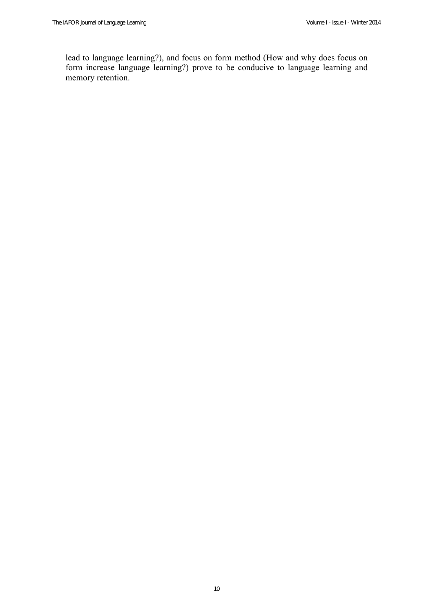lead to language learning?), and focus on form method (How and why does focus on form increase language learning?) prove to be conducive to language learning and memory retention.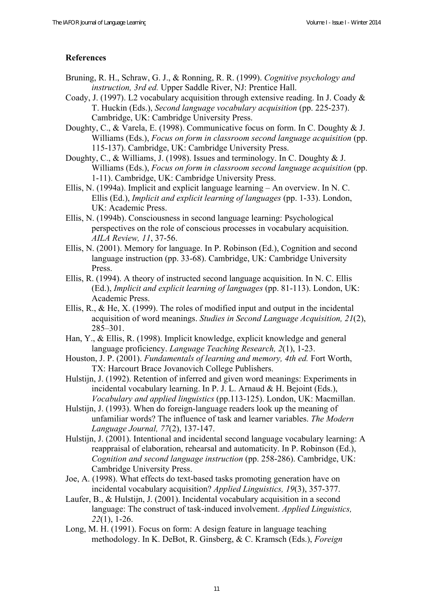## **References**

- Bruning, R. H., Schraw, G. J., & Ronning, R. R. (1999). *Cognitive psychology and instruction, 3rd ed.* Upper Saddle River, NJ: Prentice Hall.
- Coady, J. (1997). L2 vocabulary acquisition through extensive reading. In J. Coady & T. Huckin (Eds.), *Second language vocabulary acquisition* (pp. 225-237). Cambridge, UK: Cambridge University Press.
- Doughty, C., & Varela, E. (1998). Communicative focus on form. In C. Doughty & J. Williams (Eds.), *Focus on form in classroom second language acquisition* (pp. 115-137). Cambridge, UK: Cambridge University Press.
- Doughty, C., & Williams, J. (1998). Issues and terminology. In C. Doughty & J. Williams (Eds.), *Focus on form in classroom second language acquisition* (pp. 1-11). Cambridge, UK: Cambridge University Press.
- Ellis, N. (1994a). Implicit and explicit language learning An overview. In N. C. Ellis (Ed.), *Implicit and explicit learning of languages* (pp. 1-33). London, UK: Academic Press.
- Ellis, N. (1994b). Consciousness in second language learning: Psychological perspectives on the role of conscious processes in vocabulary acquisition. *AILA Review, 11*, 37-56.
- Ellis, N. (2001). Memory for language. In P. Robinson (Ed.), Cognition and second language instruction (pp. 33-68). Cambridge, UK: Cambridge University Press.
- Ellis, R. (1994). A theory of instructed second language acquisition. In N. C. Ellis (Ed.), *Implicit and explicit learning of languages* (pp. 81-113). London, UK: Academic Press.
- Ellis, R., & He, X. (1999). The roles of modified input and output in the incidental acquisition of word meanings. *Studies in Second Language Acquisition, 21*(2), 285–301.
- Han, Y., & Ellis, R. (1998). Implicit knowledge, explicit knowledge and general language proficiency. *Language Teaching Research, 2*(1), 1-23.
- Houston, J. P. (2001). *Fundamentals of learning and memory, 4th ed.* Fort Worth, TX: Harcourt Brace Jovanovich College Publishers.
- Hulstijn, J. (1992). Retention of inferred and given word meanings: Experiments in incidental vocabulary learning. In P. J. L. Arnaud & H. Bejoint (Eds.), *Vocabulary and applied linguistics* (pp.113-125). London, UK: Macmillan.
- Hulstijn, J. (1993). When do foreign-language readers look up the meaning of unfamiliar words? The influence of task and learner variables. *The Modern Language Journal, 77*(2), 137-147.
- Hulstijn, J. (2001). Intentional and incidental second language vocabulary learning: A reappraisal of elaboration, rehearsal and automaticity. In P. Robinson (Ed.), *Cognition and second language instruction (pp. 258-286). Cambridge, UK:* Cambridge University Press.
- Joe, A. (1998). What effects do text-based tasks promoting generation have on incidental vocabulary acquisition? *Applied Linguistics, 19*(3), 357-377.
- Laufer, B., & Hulstijn, J. (2001). Incidental vocabulary acquisition in a second language: The construct of task-induced involvement. *Applied Linguistics, 22*(1), 1-26.
- Long, M. H. (1991). Focus on form: A design feature in language teaching methodology. In K. DeBot, R. Ginsberg, & C. Kramsch (Eds.), *Foreign*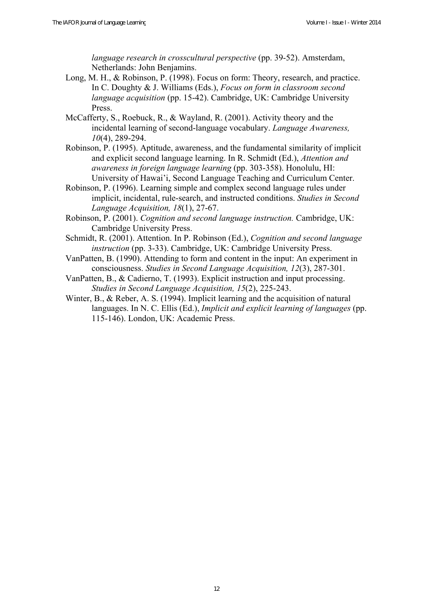*language research in crosscultural perspective* (pp. 39-52). Amsterdam, Netherlands: John Benjamins.

- Long, M. H., & Robinson, P. (1998). Focus on form: Theory, research, and practice. In C. Doughty & J. Williams (Eds.), *Focus on form in classroom second language acquisition* (pp. 15-42). Cambridge, UK: Cambridge University Press.
- McCafferty, S., Roebuck, R., & Wayland, R. (2001). Activity theory and the incidental learning of second-language vocabulary. *Language Awareness, 10*(4), 289-294.
- Robinson, P. (1995). Aptitude, awareness, and the fundamental similarity of implicit and explicit second language learning. In R. Schmidt (Ed.), *Attention and awareness in foreign language learning* (pp. 303-358). Honolulu, HI: University of Hawai'i, Second Language Teaching and Curriculum Center.
- Robinson, P. (1996). Learning simple and complex second language rules under implicit, incidental, rule-search, and instructed conditions. *Studies in Second Language Acquisition, 18*(1), 27-67.
- Robinson, P. (2001). *Cognition and second language instruction.* Cambridge, UK: Cambridge University Press.
- Schmidt, R. (2001). Attention. In P. Robinson (Ed.), *Cognition and second language instruction* (pp. 3-33). Cambridge, UK: Cambridge University Press.
- VanPatten, B. (1990). Attending to form and content in the input: An experiment in consciousness. *Studies in Second Language Acquisition, 12*(3), 287-301.

VanPatten, B., & Cadierno, T. (1993). Explicit instruction and input processing. *Studies in Second Language Acquisition, 15*(2), 225-243.

Winter, B., & Reber, A. S. (1994). Implicit learning and the acquisition of natural languages. In N. C. Ellis (Ed.), *Implicit and explicit learning of languages* (pp. 115-146). London, UK: Academic Press.